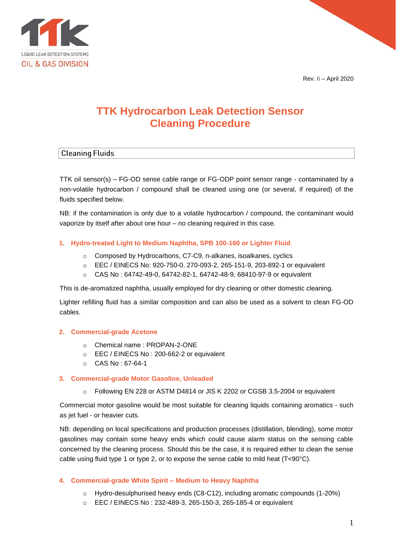Rev. 6 – April 2020



# **TTK Hydrocarbon Leak Detection Sensor Cleaning Procedure**

# **Cleaning Fluids**

TTK oil sensor(s) – FG-OD sense cable range or FG-ODP point sensor range - contaminated by a non-volatile hydrocarbon / compound shall be cleaned using one (or several, if required) of the fluids specified below.

NB: if the contamination is only due to a volatile hydrocarbon / compound, the contaminant would vaporize by itself after about one hour – no cleaning required in this case.

# **1. Hydro-treated Light to Medium Naphtha, SPB 100-160 or Lighter Fluid**

- o Composed by Hydrocarbons, C7-C9, n-alkanes, isoalkanes, cyclics
- o EEC / EINECS No: 920-750-0, 270-093-2, 265-151-9, 203-892-1 or equivalent
- o CAS No : 64742-49-0, 64742-82-1, 64742-48-9, 68410-97-9 or equivalent

This is de-aromatized naphtha, usually employed for dry cleaning or other domestic cleaning.

Lighter refilling fluid has a similar composition and can also be used as a solvent to clean FG-OD cables.

## **2. Commercial-grade Acetone**

- o Chemical name : PROPAN-2-ONE
- o EEC / EINECS No : 200-662-2 or equivalent
- o CAS No : 67-64-1

## **3. Commercial-grade Motor Gasoline, Unleaded**

o Following EN 228 or ASTM D4814 or JIS K 2202 or CGSB 3.5-2004 or equivalent

Commercial motor gasoline would be most suitable for cleaning liquids containing aromatics - such as jet fuel - or heavier cuts.

NB: depending on local specifications and production processes (distillation, blending), some motor gasolines may contain some heavy ends which could cause alarm status on the sensing cable concerned by the cleaning process. Should this be the case, it is required either to clean the sense cable using fluid type 1 or type 2, or to expose the sense cable to mild heat  $(T<90^{\circ}C)$ .

# **4. Commercial-grade White Spirit – Medium to Heavy Naphtha**

- o Hydro-desulphurised heavy ends (C8-C12), including aromatic compounds (1-20%)
- o EEC / EINECS No : 232-489-3, 265-150-3, 265-185-4 or equivalent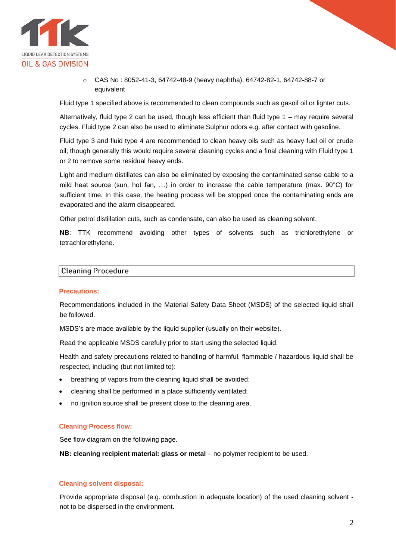

 $\circ$  CAS No : 8052-41-3, 64742-48-9 (heavy naphtha), 64742-82-1, 64742-88-7 or equivalent

Fluid type 1 specified above is recommended to clean compounds such as gasoil oil or lighter cuts.

Alternatively, fluid type 2 can be used, though less efficient than fluid type 1 – may require several cycles. Fluid type 2 can also be used to eliminate Sulphur odors e.g. after contact with gasoline.

Fluid type 3 and fluid type 4 are recommended to clean heavy oils such as heavy fuel oil or crude oil, though generally this would require several cleaning cycles and a final cleaning with Fluid type 1 or 2 to remove some residual heavy ends.

Light and medium distillates can also be eliminated by exposing the contaminated sense cable to a mild heat source (sun, hot fan, …) in order to increase the cable temperature (max. 90°C) for sufficient time. In this case, the heating process will be stopped once the contaminating ends are evaporated and the alarm disappeared.

Other petrol distillation cuts, such as condensate, can also be used as cleaning solvent.

**NB**: TTK recommend avoiding other types of solvents such as trichlorethylene or tetrachlorethylene.

## **Cleaning Procedure**

#### **Precautions:**

Recommendations included in the Material Safety Data Sheet (MSDS) of the selected liquid shall be followed.

MSDS's are made available by the liquid supplier (usually on their website).

Read the applicable MSDS carefully prior to start using the selected liquid.

Health and safety precautions related to handling of harmful, flammable / hazardous liquid shall be respected, including (but not limited to):

- breathing of vapors from the cleaning liquid shall be avoided;
- cleaning shall be performed in a place sufficiently ventilated;
- no ignition source shall be present close to the cleaning area.

#### **Cleaning Process flow:**

See flow diagram on the following page.

**NB: cleaning recipient material: glass or metal – no polymer recipient to be used.** 

#### **Cleaning solvent disposal:**

Provide appropriate disposal (e.g. combustion in adequate location) of the used cleaning solvent not to be dispersed in the environment.